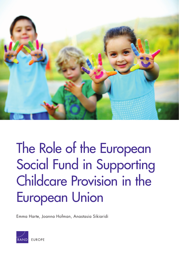

# The Role of the European [Social Fund in Supporting](http://www.rand.org/pubs/research_reports/RR1364.html)  Childcare Provision in the European Union

Emma Harte, Joanna Hofman, Anastasia Sikiaridi

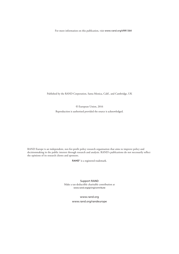For more information on this publication, visit [www.rand.org/t/](http://www.rand.org/t/RR1364)RR1364

Published by the RAND Corporation, Santa Monica, Calif., and Cambridge, UK

© European Union, 2016

Reproduction is authorised provided the source is acknowledged.

RAND Europe is an independent, not-for-profit policy research organisation that aims to improve policy and decisionmaking in the public interest through research and analysis. RAND's publications do not necessarily reflect the opinions of its research clients and sponsors.

RAND<sup>®</sup> is a registered trademark.

Support RAND Make a tax-deductible charitable contribution at [www.rand.org/giving/contribute](http://www.rand.org/giving/contribute)

[www.rand.org](http://www.rand.org)

[www.rand.org/randeurope](http://www.rand.org/randeurope)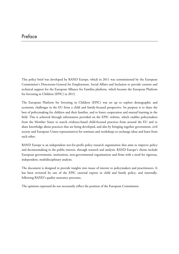This policy brief was developed by RAND Europe, which in 2011 was commissioned by the European Commission's Directorate-General for Employment, Social Affairs and Inclusion to provide content and technical support for the European Alliance for Families platform, which became the European Platform for Investing in Children (EPIC) in 2013.

The European Platform for Investing in Children (EPIC) was set up to explore demographic and economic challenges in the EU from a child and family-focused perspective. Its purpose is to share the best of policymaking for children and their families, and to foster cooperation and mutual learning in the field. This is achieved through information provided on the EPIC website, which enables policymakers from the Member States to search evidence-based child-focused practices from around the EU and to share knowledge about practices that are being developed, and also by bringing together government, civil society and European Union representatives for seminars and workshops to exchange ideas and learn from each other.

RAND Europe is an independent not-for-profit policy research organisation that aims to improve policy and decisionmaking in the public interest, through research and analysis. RAND Europe's clients include European governments, institutions, non-governmental organisations and firms with a need for rigorous, independent, multidisciplinary analysis.

The document is designed to provide insights into issues of interest to policymakers and practitioners. It has been reviewed by one of the EPIC external experts in child and family policy, and internally, following RAND's quality assurance processes.

The opinions expressed do not necessarily reflect the position of the European Commission.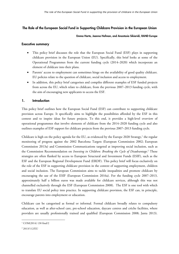# **The Role of the European Social Fund in Supporting Childcare Provision in the European Union**

## **Emma Harte, Joanna Hofman, and Anastasia Sikiaridi, RAND Europe**

# **Executive summary**

- This policy brief discusses the role that the European Social Fund (ESF) plays in supporting childcare provision in the European Union (EU). Specifically, this brief looks at some of the Operational Programmes from the current funding cycle (2014–2020) which incorporate an element of childcare into their plans.
- Parents' access to employment can sometimes hinge on the availability of good quality childcare. EU policies relate to the question of childcare, social inclusion and access to employment.
- In addition, this policy brief categorises and compiles different examples of ESF funded projects from across the EU, which relate to childcare, from the previous 2007–2013 funding cycle, with the aim of encouraging new applicants to access the ESF.

# **1. Introduction**

This policy brief outlines how the European Social Fund (ESF) can contribute to supporting childcare provision across Europe. It specifically aims to highlight the possibilities afforded by the ESF in this context and to inspire ideas for future projects. To this end, it provides a high-level overview of operational programmes that involve elements of childcare from the 2014–2020 funding cycle and also outlines examples of ESF support for childcare projects from the previous 2007–2013 funding cycle.

Childcare is high on the policy agenda for the EU, as evidenced by the Europe 2020 Strategy,<sup>1</sup> the regular monitoring of progress against the 2002 Barcelona Targets (European Commission 2002; European Commission 2013a) and Commission Communications targeted at improving social inclusion, such as the Commission Recommendation on *Investing in Children: Breaking the Cycle of Disadvantage*.<sup>2</sup> These strategies are often flanked by access to European Structural and Investment Funds (ESIF), such as the ESF and the European Regional Development Fund (ERDF). This policy brief will focus exclusively on the role of the ESF in supporting childcare provision in the context of supporting employment, children and social inclusion. The European Commission aims to tackle inequalities and promote childcare by encouraging the use of the ESIF (European Commission 2016a). For the funding cycle 2007–2013, approximately half a billion euros was made available for childcare services, although this was not channelled exclusively through the ESF (European Commission 2008). The ESF is one tool with which to translate EU social policy into practice. In supporting childcare provision, the ESF can, in principle, encourage parents into employment or education.

Childcare can be categorised as formal or informal. Formal childcare broadly relates to compulsory education, as well as after-school care, pre-school education, daycare centres and crèche facilities, where providers are usually professionally trained and qualified (European Commission 2008; Janta 2013).

 $\overline{a}$ 

<sup>1</sup> COM(2014) 130 final/2

<sup>2</sup> 2013/112/EU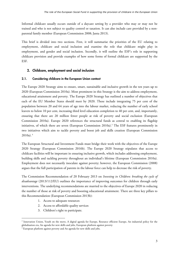Informal childcare usually occurs outside of a daycare setting by a provider who may or may not be trained and who is not subject to quality control or taxation. It can also include care provided by a nonparental family member (European Commission 2008; Janta 2013).

This brief is divided into two sections. First, it will summarise the priorities of the EU relating to employment, childcare and social inclusion and examine the role that childcare might play in employment, and gender and social inclusion. Secondly, it will outline the ESF's role in supporting childcare provision and provide examples of how some forms of formal childcare are supported by the ESF.

# **2. Childcare, employment and social inclusion**

# **2.1. Considering childcare in the European Union context**

The Europe 2020 Strategy aims to ensure, smart, sustainable and inclusive growth in the ten years up to 2020 (European Commission 2010a). Most prominent in this Strategy is the aim to address employment, educational attainment and poverty. The Europe 2020 Strategy has outlined a number of objectives that each of the EU Member States should meet by 2020. These include integrating 75 per cent of the population between 20 and 64 years of age into the labour market, reducing the number of early school leavers to below 10 per cent, increasing third level education completion to 40 per cent, and, importantly, ensuring that there are 20 million fewer people at risk of poverty and social exclusion (European Commission 2010a). Europe 2020 references the structural funds as central to enabling its flagship initiatives, of which there are seven (European Commission 2010a).<sup>3</sup> The ESF features prominently in two initiatives which aim to tackle poverty and boost job and skills creation (European Commission  $2010a$ ).  $4$ 

The European Structural and Investment Funds must bridge their work with the objectives of the Europe 2020 Strategy (European Commission 2016b). The Europe 2020 Strategy stipulates that access to childcare facilities will be important in ensuring inclusive growth, which includes addressing employment, building skills and tackling poverty throughout an individual's lifetime (European Commission 2010a). Employment does not necessarily inoculate against poverty; however, the European Commission (2008) argues that the full participation of parents in the labour force can help to decrease the risk of poverty.

The Commission Recommendation of 20 February 2013 on *Investing in Children: breaking the cycle of disadvantage* (2013/112/EU) outlines the importance of improving outcomes for children through early interventions. The underlying recommendations are married to the objectives of Europe 2020 in reducing the number of those at risk of poverty and boosting educational attainment. There are three key pillars to this Recommendation (European Commission 2013b):

- 1. Access to adequate resources
- 2. Access to affordable quality services
- 3. Children's right to participate.

 $\ddot{\phantom{a}}$ 

<sup>3</sup> Innovation Union, Youth on the move, A digital agenda for Europe, Resource efficient Europe, An industrial policy for the globalisation era, An agenda for new skills and jobs, European platform against poverty

<sup>4</sup> European platform against poverty and An agenda for new skills and jobs.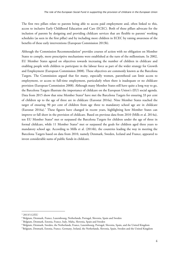The first two pillars relate to parents being able to access paid employment and, often linked to this, access to inclusive Early Childhood Education and Care (ECEC). Both of these pillars advocate for the inclusion of parents by designing and providing childcare services that are flexible to parents' working schedules (as seen in the first pillar) and by including more children in ECEC by raising awareness of the benefits of these early interventions (European Commission 2013b).

Although the Commission Recommendation<sup>5</sup> provides courses of action with no obligation on Member States to comply, more prescriptive mechanisms were established at the turn of the millennium. In 2002, EU Member States agreed on objectives towards increasing the number of children in childcare and enabling people with children to participate in the labour force as part of the wider strategy for Growth and Employment (European Commission 2008). These objectives are commonly known as the Barcelona Targets. The Commission argued that for many, especially women, parenthood can limit access to employment, or access to full-time employment, particularly when there is inadequate or no childcare provision (European Commission 2008). Although many Member States still have quite a long way to go, the Barcelona Targets illustrate the importance of childcare on the European Union's (EU) social agenda. Data from 2015 show that nine Member States<sup>6</sup> have met the Barcelona Targets for ensuring 33 per cent of children up to the age of three are in childcare (Eurostat 2016a). Nine Member States reached the target of ensuring 90 per cent of children from age three to mandatory school age are in childcare (Eurostat 2016a).<sup>7</sup> These figures have changed in recent years, highlighting how Member States can improve or fall short in the provision of childcare. Based on previous data from 2010 (Mills et al. 2014a), ten EU Member States<sup>8</sup> met or surpassed the Barcelona Targets for children under the age of three in formal childcare, while 11 Member States<sup>9</sup> met or surpassed the goals for children aged three years to mandatory school age. According to Mills et al. (2014b), the countries leading the way in meeting the Barcelona Targets based on data from 2010, namely Denmark, Sweden, Iceland and France, appeared to invest considerable sums of public funds in childcare.

1

<sup>5</sup> 2013/112/EU

<sup>&</sup>lt;sup>6</sup> Belgium, Denmark, France, Luxembourg, Netherlands, Portugal, Slovenia, Spain and Sweden

<sup>7</sup> Belgium, Denmark, Estonia, France, Italy, Malta, Slovenia, Spain and Sweden

<sup>8</sup> Belgium, Denmark, Sweden, the Netherlands, France, Luxembourg, Portugal, Slovenia, Spain, and the United Kingdom

<sup>9</sup> Belgium, Denmark, Estonia, France, Germany, Ireland, the Netherlands, Slovenia, Spain, Sweden and the United Kingdom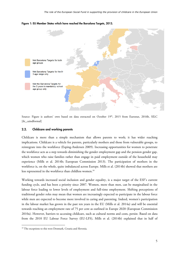

#### **Figure 1: EU Member States which have reached the Barcelona Targets, 2013.**

Source: Figure is authors' own based on data extracted on October 19th, 2015 from Eurostat, 2016b, SILC [ilc\_caindformal]

#### **2.2. Childcare and working parents**

Childcare is more than a simple mechanism that allows parents to work; it has wider reaching implications. Childcare is a vehicle for parents, particularly mothers and those from vulnerable groups, to reintegrate into the workforce (Esping-Andersen 2009). Increasing opportunities for women to penetrate the workforce acts as a step towards diminishing the gender employment gap and the pension gender gap, which women who raise families rather than engage in paid employment outside of the household may experience (Mills et al. 2014b; European Commission 2013). The participation of mothers in the workforce is, on the whole, quite imbalanced across Europe. Mills et al. (2014b) showed that mothers are less represented in the workforce than childless women.<sup>10</sup>

Working towards increased social inclusion and gender equality, is a major target of the ESF's current funding cycle, and has been a priority since 2007. Women, more than men, can be marginalised in the labour force leading to lower levels of employment and full-time employment. Shifting perceptions of traditional gender roles may mean that women are increasingly expected to participate in the labour force while men are expected to become more involved in caring and parenting. Indeed, women's participation in the labour market has grown in the past ten years in the EU (Mills et al. 2014a) and will be essential towards reaching an employment rate of 75 per cent as outlined in Europe 2020 (European Commission 2010a). However, barriers to accessing childcare, such as cultural norms and costs, persist. Based on data from the 2010 EU Labour Force Survey (EU-LFS), Mills et al. (2014b) explained that in half of

 $\ddot{\phantom{a}}$ 

<sup>&</sup>lt;sup>10</sup> The exceptions to this were Denmark, Croatia and Slovenia.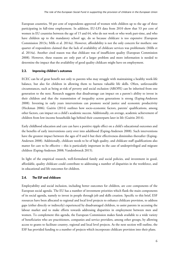European countries, 50 per cent of respondents approved of women with children up to the age of three participating in full-time employment. In addition, EU-LFS data from 2010 show that 53 per cent of women in EU countries between the age of 15 and 64, who do not work or who work part-time, and who have children up to the mandatory school age, do so because childcare is too expensive (European Commission 2013c; Mills et al. 2014a). However, affordability is not the only concern for mothers: one quarter of respondents claimed that the lack of availability of childcare services was problematic (Mills et al. 2014a). Another cited reason was that childcare was of insufficient quality (European Commission 2008). However, these reasons are only part of a larger problem and more information is needed to determine the impact that the availability of good quality childcare might have on employment.

## **2.3. Improving children's outcomes**

ECEC can be of great benefit not only to parents who may struggle with maintaining a healthy work-life balance, but also for children in allowing them to harness valuable life skills. Often, unfavourable circumstances, such as being at-risk of poverty and social exclusion (AROPE) can be inherited from one generation to the next. Research suggests that disadvantage can impact on a parent's ability to invest in their children and that the transmission of inequality across generations is strong (Esping-Andersen 2008). Investing in early years interventions can promote social justice and economic productivity (Heckman 2006). Guérin (2014) outlines how socio-economic factors, parents' qualifications, among other factors, can impact on a child's academic success. Additionally, on average, academic achievement of children from low-income households lags behind their counterparts later in life (Guérin 2014).

Early childhood education and care can have a positive ripple effect on a child's educational outcomes and the benefits of early interventions carry over into adulthood (Esping-Andersen 2008). Such interventions have the greatest impact between the ages of 0 and 6 but their effectiveness diminishes thereafter (Esping-Andersen 2008). Additionally, childcare needs to be of high quality, and childcare staff qualifications also matter for care to be effective – this is particularly important in the case of underprivileged and migrant children (Esping-Andersen 2008; Vandenbroeck 2015).

In light of the empirical research, well-formulated family and social policies, and investment in good, affordable, quality childcare could contribute to addressing a number of disparities in the workforce, and in educational and life outcomes for children.

# **2.4. The ESF and childcare**

Employability and social inclusion, including better outcomes for children, are core components of the European social agenda. The EU has a number of investment priorities which flank the main components of its social agenda, namely to invest in people through job and skills creation. Specific to this brief, ESF resources have been allocated to regional and local level projects to enhance childcare provision, to address gaps (either directly or indirectly) experienced by disadvantaged children, to assist parents in accessing the labour market and to make efforts towards addressing disparities in employment between men and women. To complement this agenda, the European Commission makes funds available to a wide variety of beneficiaries who are practitioners, companies and service providers, among other groups, by allowing access to grants to facilitate country, regional and local level projects. As the next section will outline, the ESF has provided funding to a number of projects which incorporate childcare provision into their plans.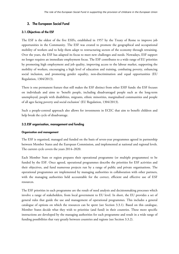# **3. The European Social Fund**

## **3.1.Objectives of the ESF**

The ESF is the oldest of the five ESIFs, established in 1957 by the Treaty of Rome to improve job opportunities in the Community. The ESF was created to promote the geographical and occupational mobility of workers and to help them adapt to restructuring sectors of the economy through retraining. Over the years, the ESF has adapted its focus to meet new challenges and needs. Nowadays, ESF support no longer requires an immediate employment focus. The ESF contributes to a wide range of EU priorities by promoting high employment and job quality, improving access to the labour market, supporting the mobility of workers, encouraging a high level of education and training, combating poverty, enhancing social inclusion, and promoting gender equality, non-discrimination and equal opportunities (EU Regulation, 1304/2013).

There is one permanent feature that still makes the ESF distinct from other ESIF funds: the ESF focuses on individuals and aims to 'benefit people, including disadvantaged people such as the long-term unemployed, people with disabilities, migrants, ethnic minorities, marginalised communities and people of all ages facing poverty and social exclusion' (EU Regulation, 1304/2013).

Such a people-centred approach also allows for investments in ECEC that aim to benefit children and help break the cycle of disadvantage.

## **3.2.ESF organisation, management and funding**

## **Organisation and management**

The ESF is organised, managed and funded on the basis of seven-year programmes agreed in partnership between Member States and the European Commission, and implemented at national and regional levels. The current cycle covers the years 2014–2020.

Each Member State or region prepares their operational programme (or multiple programmes) to be funded by the ESF. Once agreed, operational programmes describe the priorities for ESF activities and their objectives, and fund numerous projects run by a range of public and private organisations. The operational programmes are implemented by managing authorities in collaboration with other partners, with the managing authorities held accountable for the correct, efficient and effective use of ESF resources.

The ESF priorities in each programme are the result of need analysis and decisionmaking processes which involve a range of stakeholders, from local government to EU level. In short, the EU provides a set of general rules that guide the use and management of operational programmes. This includes a general catalogue of options on which the resources can be spent (see Section 3.3.1). Based on this catalogue, Member States decide what they wish to prioritise (and fund) in their countries. These more specific instructions are developed by the managing authorities for each programme and result in a wide range of funding possibilities that vary greatly between countries and regions (see Section 3.3.2).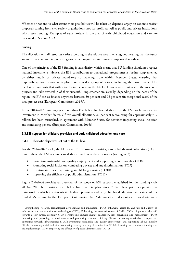Whether or not and to what extent these possibilities will be taken up depends largely on concrete project proposals coming from civil society organisations, not-for-profit, as well as public and private institutions, which seek funding. Examples of such projects in the area of early childhood education and care are presented in Section 3.3.3.

## **Funding**

 $\ddot{\phantom{a}}$ 

The allocation of ESF resources varies according to the relative wealth of a region, meaning that the funds are more concentrated in poorer regions, which require greater financial support than others.

One of the principles of the ESF funding is subsidiarity, which means that EU funding should not replace national investments. Hence, the ESF contribution to operational programmes is further supplemented by either public or private mandatory co-financing from within Member States, ensuring that responsibility for its success is placed on a wider group of actors, including the government. This mechanism warrants that authorities from the local to the EU level have a vested interest in the success of projects and take ownership of their successful implementation. Usually, depending on the needs of the region, the EU can co-finance anywhere between 50 per cent and 95 per cent (in exceptional cases) of the total project cost (European Commission 2015a).

In the 2014–2020 funding cycle more than €86 billion has been dedicated to the ESF for human capital investment in Member States. Of this overall allocation, 20 per cent (accounting for approximately  $E17$ billion) has been earmarked, in agreement with Member States, for activities improving social inclusion and combating poverty (European Commission 2016c).

## **3.3.ESF support for childcare provision and early childhood education and care**

## **3.3.1. Thematic objectives set out at the EU level**

For the 2014–2020 cycle, the EU set up 11 investment priorities, also called thematic objectives (TO).<sup>11</sup> Out of these, the ESF resources are dedicated to four of these priorities (see Figure 2):

- Promoting sustainable and quality employment and supporting labour mobility (TO8)
- Promoting social inclusion, combating poverty and any discrimination (TO9)
- Investing in education, training and lifelong learning (TO10)
- Improving the efficiency of public administration (TO11).

Figure 2 (below) provides an overview of the scope of ESF support established for the funding cycle 2014–2020. The priorities listed below have been in place since 2014. These priorities provide the framework in which investments in childcare provision and early childhood education and care could be funded. According to the European Commission (2015a), investment decisions are based on needs

<sup>&</sup>lt;sup>11</sup> Strengthening research, technological development and innovation (TO1); enhancing access to, and use and quality of, information and communication technologies (TO2); Enhancing the competitiveness of SMEs (TO3); Supporting the shift towards a low-carbon economy (TO4); Promoting climate change adaptation, risk prevention and management (TO5); Preserving and protecting the environment and promoting resource efficiency (TO6); Promoting sustainable transport and improving network infrastructures (TO7); Promoting sustainable and quality employment and supporting labour mobility (TO8); Promoting social inclusion, combating poverty and any discrimination (TO9); Investing in education, training and lifelong learning (TO10); Improving the efficiency of public administration (TO11).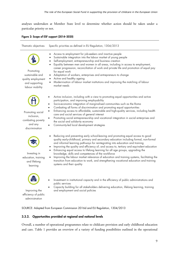analyses undertaken at Member State level to determine whether action should be taken under a particular priority or not.

## **Figure 2: Scope of ESF support (2014–2020)**

| Thematic objectives                                                                     | Specific priorities as defined in EU Regulation, 1304/2013                                                                                                                                                                                                                                                                                                                                                                                                                                                                                                                                                                                                                                                                              |
|-----------------------------------------------------------------------------------------|-----------------------------------------------------------------------------------------------------------------------------------------------------------------------------------------------------------------------------------------------------------------------------------------------------------------------------------------------------------------------------------------------------------------------------------------------------------------------------------------------------------------------------------------------------------------------------------------------------------------------------------------------------------------------------------------------------------------------------------------|
| Promoting<br>sustainable and<br>quality employment<br>and supporting<br>labour mobility | Access to employment for job-seekers and inactive people<br>Sustainable integration into the labour market of young people<br>٠<br>Self-employment, entrepreneurship and business creation<br>$\bullet$<br>Equality between men and women in all areas, including in access to employment,<br>$\bullet$<br>career progression, reconciliation of work and private life and promotion of equal pay<br>for equal work<br>Adaptation of workers, enterprises and entrepreneurs to change<br>Active and healthy ageing<br>$\bullet$<br>Modernisation of labour market institutions and improving the matching of labour<br>market needs                                                                                                     |
| Promoting social<br>inclusion,<br>combating poverty<br>and any<br>discrimination        | Active inclusion, including with a view to promoting equal opportunities and active<br>participation, and improving employability<br>Socio-economic integration of marginalised communities such as the Roma<br>$\bullet$<br>Combating all forms of discrimination and promoting equal opportunities<br>$\bullet$<br>Enhancing access to affordable, sustainable and high-quality services, including health<br>$\bullet$<br>care and social services of general interest<br>Promoting social entrepreneurship and vocational integration in social enterprises and<br>the social and solidarity economy<br>Community-led local development strategies                                                                                  |
| Investing in<br>education, training<br>and lifelong<br>learning                         | Reducing and preventing early school-leaving and promoting equal access to good<br>٠<br>quality early-childhood, primary and secondary education including formal, non-formal<br>and informal learning pathways for reintegrating into education and training<br>Improving the quality and efficiency of, and access to, tertiary and equivalent education<br>$\bullet$<br>Enhancing equal access to lifelong learning for all age groups, upgrading the<br>٠<br>knowledge, skills and competences of the workforce<br>Improving the labour market relevance of education and training systems, facilitating the<br>transition from education to work, and strengthening vocational education and training<br>systems and their quality |
| ш<br>Improving the<br>efficiency of public<br>administration                            | Investment in institutional capacity and in the efficiency of public administrations and<br>$\bullet$<br>public services<br>Capacity building for all stakeholders delivering education, lifelong learning, training<br>and employment and social policies                                                                                                                                                                                                                                                                                                                                                                                                                                                                              |

SOURCE: Adapted from European Commission 2016d and EU Regulation, 1304/2013

## **3.3.2. Opportunities provided at regional and national levels**

Overall, a number of operational programmes relate to childcare provision and early childhood education and care. Table 1 provides an overview of a variety of funding possibilities outlined in the operational

administration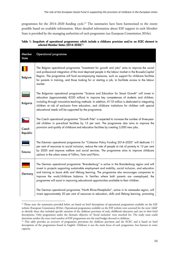programmes for the 2014–2020 funding cycle.<sup>12</sup> The summaries have been harmonised to the extent possible based on available information. More detailed information about ESF support in each Member State is provided by the managing authorities of each programme (see European Commission 2016e).

## **Table 1: Snapshots of operational programmes which include a childcare provision and/or an ECEC element in**  selected Member States (2014-2020)<sup>13</sup>

| Member<br><b>State</b> | Operational programme                                                                                                                                                                                                                                                                                                                                                                                                                                                                      |
|------------------------|--------------------------------------------------------------------------------------------------------------------------------------------------------------------------------------------------------------------------------------------------------------------------------------------------------------------------------------------------------------------------------------------------------------------------------------------------------------------------------------------|
| <b>Belgium</b>         | The Belgian operational programme "Investment for growth and jobs" aims to improve the social<br>and professional integration of the most deprived people in the labour market in the Brussels-Capital<br>Region. The programme will fund accompanying measures, such as support for childcare facilities<br>for parents in training, and those looking for or starting a job, to facilitate access to the labour<br>market.                                                               |
| <b>Bulgaria</b>        | The Bulgarian operational programme "Science and Education for Smart Growth" will invest in<br>education (approximately €220 million) to improve key competences of students and children,<br>including through innovative teaching methods. In addition, €110 million is dedicated to integrating<br>children at risk of exclusion from education, and childcare institutions for children with special<br>educational needs will be supported by the programme.                          |
| Czech<br>Republic      | The Czech operational programme "Growth Pole" is expected to increase the number of three-year-<br>old children in pre-school facilities by 13 per cent. The programme also aims to improve the<br>provision and quality of childcare and education facilities by creating 3,000 new jobs.                                                                                                                                                                                                 |
| <b>Estonia</b>         | The Estonian operational programme for "Cohesion Policy Funding 2014–2020" will dedicate 11<br>per cent of resources to social inclusion, reduce the rate of people at risk of poverty to 15 per cent<br>by 2020 and improve welfare and social services. The programme aims to improve childcare<br>options in the urban areas of Tallinn, Tartu and Pärnu.                                                                                                                               |
| Germany                | The German operational programme "Brandenburg" is active in the Brandenburg region and will<br>invest in projects supporting sustainable employment and mobility, social inclusion, and education<br>and training to boost skills and lifelong learning. The programme also encourages companies to<br>improve the work/childcare balance. In families where both parents are unemployed, the<br>programme will assist in improving educational opportunities available to their children. |
|                        | The German operational programme "North Rhine-Westphalia", active in its namesake region, will<br>invest approximately 20 per cent of resources to education, skills and lifelong learning, promoting                                                                                                                                                                                                                                                                                      |

<sup>&</sup>lt;sup>12</sup> Please note the summaries provided below are based on brief descriptions of operational programmes available on the ESF website (European Commission 2016e). Operational programmes available on the ESF website were screened for the term 'child' to identify those that included specific mention of the childcare provision of early childhood education and care in their brief descriptions. Only programmes under the thematic objective of 'Social inclusion' were searched for. The study team could determine neither the exact total number of ESF programmes nor the total budget devoted to childcare.<br><sup>13</sup> This table provides an overview of programme provisions for childcare provision and the ECEC and is based on brief

 $\ddot{\phantom{a}}$ 

descriptions of the programmes found in English. Childcare is not the main focus of each programme, but features in some capacity.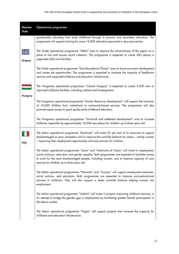| Member<br><b>State</b> | Operational programme                                                                                                                                                                                                                                                                                                                               |
|------------------------|-----------------------------------------------------------------------------------------------------------------------------------------------------------------------------------------------------------------------------------------------------------------------------------------------------------------------------------------------------|
|                        | good-quality schooling from early childhood through to primary and secondary education. The<br>programme will support training for some 16,000 education personnel in day-care centres.                                                                                                                                                             |
| Greece                 | The Greek operational programme "Attika" aims to improve the attractiveness of the region as a<br>place to live and ensure social cohesion. The programme is expected to create 450 places in<br>supported child care facilities.                                                                                                                   |
|                        | The Greek operational programme "East Macedonia/Thrace" aims to boost economic development<br>and create job opportunities. The programme is expected to increase the capacity of healthcare<br>services and supported childcare and education infrastructure.                                                                                      |
|                        | The Hungarian operational programme "Central Hungary" is expected to create 4,500 new or<br>improved childcare facilities, including crèches and kindergartens.                                                                                                                                                                                     |
| Hungary                | The Hungarian operational programme "Human Resources Development" will support the transition<br>of 10,000 children from institutional to community-based services. The programme will also<br>promote equal access to good quality early childhood education.                                                                                      |
|                        | The Hungarian operational programme "Territorial and settlement development" aims to increase<br>childcare capacities by approximately 18,000 new places for children up to three years old.                                                                                                                                                        |
| <b>Italy</b>           | The Italian operational programme "Basilicata" will invest 25 per cent of its resources to support<br>disadvantaged or poor jobseekers and to improve the work-life balance for carers - mainly women<br>- improving their employment opportunities and care services for children.                                                                 |
|                        | The Italian operational programmes "Lazio" and "Autonoma di Trento" will invest in employment,<br>social inclusion, education and gender equality. Both programmes are expected to facilitate access<br>to work for the most disadvantaged people, including women, and to improve capacity of care<br>services for children up to three years old. |
|                        | The Italian operational programmes "Piemonte" and "Tuscany" will support employment measures,<br>social policies, and education. Both programmes are expected to improve socio-educational<br>services in childcare. They will also support a better work-life balance helping women into<br>employment.                                            |
|                        | The Italian operational programme "Umbria" will invest in projects improving childcare services, in<br>an attempt to bridge the gender gap in employment by facilitating greater female participation in<br>the labour market.                                                                                                                      |
|                        | The Italian operational programme "Puglia" will support projects that increase the capacity for<br>childcare and education infrastructure.                                                                                                                                                                                                          |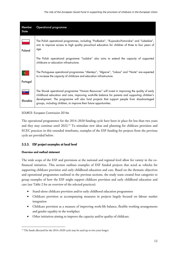| Member<br><b>State</b> | Operational programme                                                                                                                                                                                                                                                                                                                                                  |  |
|------------------------|------------------------------------------------------------------------------------------------------------------------------------------------------------------------------------------------------------------------------------------------------------------------------------------------------------------------------------------------------------------------|--|
| Poland                 | The Polish operational programmes, including "Podlaskie", "Kujawsko-Pomorskie" and "Lubelskie",<br>aim to improve access to high quality pre-school education for children of three to four years of<br>age.                                                                                                                                                           |  |
|                        | The Polish operational programme "Lodzkie" also aims to extend the capacity of supported<br>childcare or education infrastructure.                                                                                                                                                                                                                                     |  |
|                        | The Portuguese operational programmes "Alentejo", "Algarve", "Lisboa" and "Norte" are expected<br>to increase the capacity of childcare and education infrastructure.                                                                                                                                                                                                  |  |
| Portugal               |                                                                                                                                                                                                                                                                                                                                                                        |  |
| Slovakia               | The Slovak operational programme "Human Resources" will invest in improving the quality of early<br>childhood education and care, improving work-life balance for parents and supporting children's<br>development. The programme will also fund projects that support people from disadvantaged<br>groups, including children, to improve their future opportunities. |  |

#### SOURCE: European Commission 2016e

The operational programmes for the 2014–2020 funding cycle have been in place for less than two years and they may continue until 2022.<sup>14</sup> To stimulate new ideas and planning for childcare provision and ECEC practices in this extended timeframe, examples of the ESF funding for projects from the previous cycle are provided below.

## **3.3.3. ESF project examples at local level**

## **Overview and method statement**

 $\ddot{\phantom{a}}$ 

The wide scope of the ESF and provisions at the national and regional level allow for variety in the cofinanced initiatives. This section outlines examples of ESF funded projects that acted as vehicles for supporting childcare provision and early childhood education and care. Based on the thematic objectives and operational programmes outlined in the previous sections, the study team created four categories to group examples of how the ESF might support childcare provision and early childhood education and care (see Table 2 for an overview of the selected practices):

- Stand-alone childcare provision and/or early childhood education programmes
- Childcare provision as accompanying measures in projects largely focused on labour market integration
- Childcare provision as a measure of improving work-life balance, flexible working arrangements and gender equality in the workplace
- Other initiatives aiming to improve the capacity and/or quality of childcare.

<sup>&</sup>lt;sup>14</sup> The funds allocated for the 2014–2020 cycle may be used up to two years longer.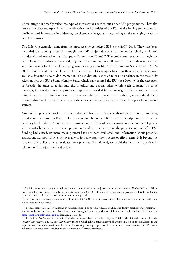These categories broadly reflect the type of interventions carried out under ESF programmes. They also serve to tie these examples in with the objectives and priorities of the ESF, while leaving some room for flexibility and innovation in addressing persistent challenges and responding to the emerging needs of people in Europe.

The following examples come from the most recently completed ESF cycle: 2007–2013. They have been identified by running a search through the ESF project database for the terms 'child', 'children', 'childcare', and related terms (European Commission 2016e).<sup>15</sup> The study team scanned through the examples in the database and selected projects for the funding cycle 2007–2013. The study team also ran an online search for ESF childcare programmes using terms like 'ESF', 'European Social Fund', '2007– 2013,' 'child', 'children', 'childcare'. We then selected 13 examples based on their apparent relevance, available data and relevant documentation. The study team also tried to ensure a balance in the case study selection between EU-15 and Member States which have entered the EU since 2004 (with the exception of Croatia) in order to understand the priorities and actions taken within each context.<sup>16</sup> In some instances, information on these project examples was provided in the language of the country where the initiative was based, significantly impacting on our ability to process it. In addition, readers should keep in mind that much of the data on which these case studies are based come from European Commission sources.

None of the practices provided in this section are listed as an 'evidence-based practice' or a 'promising practice' on the European Platform for Investing in Children (EPIC)<sup>17</sup> as their descriptions often lack the necessary level of detail.18 To the extent possible, we tried to gather information on the number of people who reportedly participated in each programme and on whether or not the project continued after ESF funding had ceased. In many cases, projects have not been evaluated, and information about potential evaluations was not (sufficiently) available to formally assess their success or effectiveness. It is beyond the scope of this policy brief to evaluate these practices. To this end, we avoid the term 'best practice' in relation to the projects outlined below.

 $\ddot{\phantom{a}}$ 

<sup>&</sup>lt;sup>15</sup> The ESF project search engine is no longer updated and many of the projects kept in this are from the 2000–2006 cycle. Given that this policy brief focuses mainly on projects from the 2007–2013 funding cycle, we cannot give an absolute figure for the number of projects in the database relevant to this time period.<br><sup>16</sup> Note that some the examples are sourced from the 2007–2013 cycle. Croatia entered the European Union in July 2013 and

did not feature in our search.

<sup>&</sup>lt;sup>17</sup> The European Platform for Investing in Children funded by the EC focused on child and family practices and programmes aiming to break the cycle of disadvantage and strengthen the capacities of children and their families. See more on [http://europa.eu/epic/index\\_en.htm](http://europa.eu/epic/index_en.htm) (accessed 23/09/15). 18 The project, *Les Castors*, was submitted to the European Platform for Investing in Children (EPIC) and is featured in the

*Practice User Registry*. The *Practice User Registry* is a tool which allows practitioners to share information on the development and implementation of their practices in the spirit of knowledge sharing. If practices have been subject to evaluation, the EPIC team will review the practice for inclusion in the *Evidence-Based Practice* repository.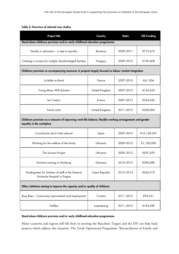## **Table 2: Overview of selected case studies**

| <b>Project title</b>                                                                                                                   | Country        | <b>Dates</b> | <b>ESF Funding</b> |  |  |  |  |  |
|----------------------------------------------------------------------------------------------------------------------------------------|----------------|--------------|--------------------|--|--|--|--|--|
| Stand-alone childcare provision and/or early childhood education programmes                                                            |                |              |                    |  |  |  |  |  |
| Quality in education $-$ a step to equality                                                                                            | Romania        | 2009-2011    | €719,476           |  |  |  |  |  |
| Creating a nursery for multiply disadvantaged families                                                                                 | Hungary        | 2009-2012    | €196,408           |  |  |  |  |  |
| Childcare provision as accompanying measures in projects largely focused on labour market integration                                  |                |              |                    |  |  |  |  |  |
| La Balle au Bond                                                                                                                       | France         | 2007-2010    | €41,204            |  |  |  |  |  |
| Young Mums Will Achieve                                                                                                                | United Kingdom | 2007-2013    | €156,633           |  |  |  |  |  |
| Les Castors                                                                                                                            | France         | 2007-2013    | €334,436           |  |  |  |  |  |
| <b>Family Links</b>                                                                                                                    | United Kingdom | 2011-2012    | €300,000           |  |  |  |  |  |
| Childcare provision as a measure of improving work-life balance, flexible working arrangements and gender<br>equality in the workplace |                |              |                    |  |  |  |  |  |
| Conciliación de la Vida Laboral                                                                                                        | Spain          | 2007-2013    | €16,128,547        |  |  |  |  |  |
| Working for the welfare of the family                                                                                                  | Lithuania      | 2009-2012    | €1,100,000         |  |  |  |  |  |
| The Success Project                                                                                                                    | Lithuania      | 2009-2012    | €597,429           |  |  |  |  |  |
| Part-time training in Hamburg                                                                                                          | Germany        | 2010-2013    | €596,080           |  |  |  |  |  |
| Kindergarten for children of staff in the General<br>University Hospital in Prague                                                     | Czech Republic | 2012-2014    | €266,919           |  |  |  |  |  |
| Other initiatives aiming to improve the capacity and/or quality of childcare                                                           |                |              |                    |  |  |  |  |  |
| Busy Bees - Community improvement and employment                                                                                       | Croatia        | 2011-2012    | €94,551            |  |  |  |  |  |
| Valiflex                                                                                                                               | Luxembourg     | 2011-2013    | €194,589           |  |  |  |  |  |

## **Stand-alone childcare provision and/or early childhood education programmes**

Many countries and regions still fall short in meeting the Barcelona Targets and the ESF can help fund projects which address this situation. The Greek Operational Programme "Reconciliation of Family and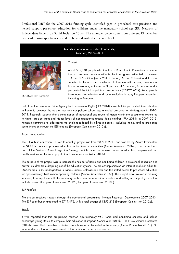Professional Life" for the 2007–2013 funding cycle identified gaps in pre-school care provision and helped support pre-school education for children under the mandatory school age (EU Network of Independent Experts on Social Inclusion 2014). The examples below come from different EU Member States addressing specific needs and problems identified at the local level.

> Quality in education – a step to equality, Romania, 2009–2011

**Context** 



SOURCE: REF Romania

About 535,140 people who identify as Roma live in Romania – a number that is considered to underestimate the true figures, estimated at between 1.4 and 2.5 million (Radu 2011). Bacau, Buzau, Calarasi and Iasi are counties in the east and southeast of Romania with varying numbers of Roma populations, estimated at 3 per cent, 4.5 per cent, 8 per cent and 2 per cent of the total populations, respectively (CPHCC 2012). Roma people have faced discrimination and social exclusion in many European countries, including in Romania.

Data from the European Union Agency for Fundamental Rights (FRA 2014) show that 45 per cent of Roma children in Romania between the age of four and compulsory school age attended preschool or kindergarten in 2010– 2011. Research suggests that a combination of institutional and structural factors within the educational system led to higher drop-out rates and higher levels of non-attendance among Roma children (FRA 2014). In 2007–2013, Romania committed to addressing the challenges faced by ethnic minorities, including Roma, and to promoting social inclusion through the ESF funding (European Commission 2012a).

## Access to education

The 'Quality in education – a step to equality' project ran from 2009 to 2011 and was led by Amare Rromentza, an NGO that aims to promote education in the Roma communities (Amare Rromentza 2016a). The project was part of the National Roma Integration Strategy, which aimed to improve access to education, employment and health services for the Roma population (European Commission 2013d).

The purpose of the project was to increase the number of Roma and non-Roma children in pre-school education and prevent children from dropping out of the education system. The project implemented an international curriculum for 800 children in 40 kindergartens in Bacau, Buzau, Calarasi and Iasi and facilitated access to pre-school education for approximately 160 Romani-speaking children (Amare Rromentza 2016a). The project also invested in training teachers, to equip them with the necessary skills to run the education modules, and setting up support groups that include parents (European Commission 2012b; European Commission 2013d).

## **ESF Funding**

The project received support through the operational programme 'Human Resources Development 2007–2013.' The ESF contribution amounted to €719,476, with a total budget of €853,213 (European Commission 2012b).

## Results

It was reported that this programme reached approximately 950 Roma and non-Roma children and helped encourage young Roma to complete their education (European Commission 2012b). The NGO Amare Rromentza (2015b) stated that a number of similar projects were implemented in the country (Amare Rromentza 2015b). No independent evaluation or assessment of this or similar projects was sourced.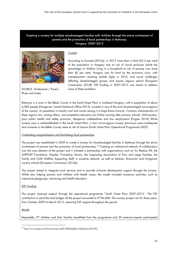## Creating a nursery for multiply disadvantaged families with children through the active involvement of parents and the promotion of local partnerships in Battonya, Hungary, 2009–2012



SOURCE: Shutterstock / Pavel L Photo and Video

#### **Context**

According to Eurostat (2016c), in 2013 more than a third (33.5 per cent) of the population in Hungary was at risk of social exclusion (while the percentage of children living in a household at risk of poverty was more than 40 per cent). Hungary was hit hard by the economic crisis, with unemployment reaching double digits in 2010, and social challenges affecting disadvantaged groups and poorer regions persist (European Commission 2016f). ESF funding in 2007–2013 was meant to address some of these problems.

Battonya is a town in the Békés County in the South Great Plain in southeast Hungary, with a population of about 6,000 people (Hungarian Central Statistical Office 2015). Located in one of the most disadvantaged micro-regions of the country, its population is mainly rural and counts among it a large Roma minority. Common characteristics of these regions are, among others, non-competitive education (no further training after primary school), child poverty, poor public health and safety provision, dangerous indebtedness and low employment (Frigyes 2016) While nursery care is well-established in the South Great Plain, in four micro-regions nursery provisions were inadequate and nurseries in the Békés County were at risk of closure (South Great Plain Operational Programme 2007).

#### Combatting marginalisation and facilitating local partnerships

The project was established in 2009 to create a nursery for disadvantaged families in Battonya through the active involvement of parents and the promotion of local partnerships.19 Creating an institutional network of collaborators was the core element of the project and it initiated a partnership with organisations such as Vis Medica Kft, the SUPPORT Foundation, Peoples' Friendship Library, the Supporting Association of Poor and Large Families, the Family and Child Welfare Supporting Staff, a nurseries network, as well as Serbian, Romanian and Hungarian nursery schools (European Commission 2014a).

The project aimed to integrate local services and to provide inclusive development support through the nursery. While also helping parents and children with health issues, the model included numerous activities, such as interactive playgroups, mentoring and health education.

## ESF Funding

The project received support through the operational programme "South Great Plain 2007–2013." The ESF contribution to (and the total budget of) the project amounted to €196,408. The nursery project ran for three years, from October 2009 to March 2012, receiving ESF support throughout the period.

## Results

1

Reportedly, 97 children and their families benefitted from the programme and 20 external experts participated

<sup>19</sup> <http://ec.europa.eu/esf/main.jsp?catId=46&langId=en&projectId=962>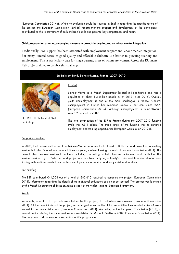(European Commission 2014a). While no evaluation could be sourced in English regarding the specific results of the project, the European Commission (2016c) reports that the support and development of the participants contributed 'to the improvement of both children's skills and parents' key competences and habits'.

#### **Childcare provision as an accompanying measure in projects largely focused on labour market integration**

Traditionally, ESF support has been associated with employment support and labour market integration. For many, limited access to good quality and affordable childcare is a barrier to pursuing training and employment. This is particularly true for single parents, most of whom are women. Across the EU many ESF projects aimed to combat this challenge.

## La Balle au Bond, Seine-et-Marne, France, 2007–2010



SOURCE: © Shutterstock/Mila Supinskaya

#### **Context**

Seine-et-Marne is a French Department located in Île-de-France and has a population of about 1.3 million people as of 2012 (Insee 2016). Overall, youth unemployment is one of the main challenges in France. General unemployment in France has remained above 9 per cent since 2009 (European Commission 2012d), although unemployment in Seine-et-Marne was 6.9 per cent in 2009.

The total contribution of the ESF to France during the 2007–2013 funding cycle was €5.4 billion. The main target of the funding was to enhance employment and training opportunities (European Commission 2012d).

## Support for families

In 2007, the Employment House of the Seine-et-Marne Department established La Balle au Bond project, a counselling service that offers 'made-to-measure solutions for young mothers looking for work' (European Commission 2011). The project offers bespoke services to mothers, including counselling, to help them reconcile work and family life. The service provided by La Balle au Bond project also involves analysing a family's social and financial situation and liaising with multiple stakeholders, such as employers, social services and early childhood workers.

## **ESF Funding**

The ESF contributed €41,204 out of a total of €82,610 required to complete the project (European Commission 2011). Information regarding the details of the individual co-funders could not be sourced. The project was launched by the French Department of Seine-et-Marne as part of the wider National Strategic Framework.

## Results

Reportedly, a total of 113 parents were helped by this project, 110 of whom were women (European Commission 2011). Of the beneficiaries of the project, 69 managed to secure the childcare facilities they wanted while 44 were trained to become child carers (European Commission 2011). According to the European Commission (2011), a second centre offering the same services was established in Marne la Vallée in 2009 (European Commission 2011). The study team did not source an evaluation of this programme.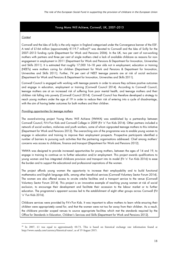#### Young Mums Will Achieve, Cornwall, UK, 2007–2013

#### **Context**

 $\ddot{\phantom{a}}$ 

Cornwall and the Isles of Scilly is the only region in England categorised under the Convergence banner of the ESF. A total of £164 million (approximately €119.7 million)<sup>20</sup> was devoted to Cornwall and the Isles of Scilly for the 2007–2013 funding cycle (Department for Work and Pensions 2006). In the UK, two per cent of non-working mothers with partners and three per cent of single mothers cited a lack of available childcare as reasons for nonengagement in employment in 2011 (Department for Work and Pensions & Department for Innovation, Universities and Skills 2011). It is estimated that roughly 17,000 16–18 year olds not in employment, education or training (NEETs) were mothers caring for children (Department for Work and Pensions & Department for Innovation, Universities and Skills 2011). Further, 74 per cent of NEET teenage parents are at risk of social exclusion (Department for Work and Pensions & Department for Innovation, Universities and Skills 2011).

Cornwall Council is engaged with working with teenage parents in order to ensure they achieve positive outcomes and engage in education, employment or training (Cornwall Council 2014). According to Cornwall Council, teenage mothers are at an increased risk of suffering from poor mental health, and teenage mothers and their children risk falling into poverty (Cornwall Council 2014). Cornwall Council has therefore developed a strategy to reach young mothers under the age of 19 in order to reduce their risk of entering into a cycle of disadvantage, with the aim of having better outcomes for both mothers and their children.

#### Providing opportunities for teenage mothers

The award-winning project Young Mums Will Achieve (YMWA) was established by a partnership between Cornwall Council, Fit'n'Fun Kids and Cornwall College in 2009 (Fit 'n' Fun Kids 2016). Other partners included a network of social workers, midwives and youth workers, some of whom signposted teenage mothers to this initiative (Department for Work and Pensions 2012). The overarching aim of the programme was to enable young women to engage in education and training to improve their employment prospects. Prospective participants identified a number of barriers to pursuing such activities that the partnering organisations addressed. Chief among mothers' concerns was access to childcare, finance and transport (Department for Work and Pensions 2012).

YMWA was designed to provide increased opportunities for young mothers, between the ages of 14 and 19, to engage in training to continue on to further education and/or employment. This project awards qualifications to young women and has integrated childcare provision and transport into its model (Fit 'n' Fun Kids 2016) to ease the burden and to support the educational and professional aspirations of the women.

The project affords young women the opportunity to increase their employability and to build functional mathematics and English language skills, among other beneficial services (Cornwall Voluntary Sector Forum 2014). The women are also offered access to on-site crèche facilities and a transport service to the venue (Cornwall Voluntary Sector Forum 2014). This project is an innovative example of reaching young women at risk of social exclusion, to encourage their development and facilitate their accession to the labour market or to further education. The programme's apparent success led to the establishment of eight other groups across Cornwall (Fit 'n' Fun Kids 2016).

Childcare services were provided by Fit'n'Fun Kids. It was important to allow mothers to learn while ensuring their children were appropriately cared for, and that the women were not too far away from their children. As a result, the childcare provider scoped venues to source appropriate facilities which met the standards required by the Office for Standards in Education, Children's Services and Skills (Department for Work and Pensions 2012).

<sup>&</sup>lt;sup>20</sup> In 2007, £1 was equal to approximately  $60.73$ , This is based on historical exchange rate information found at [http://www.oanda.com/currency/historical-rates/,](http://www.oanda.com/currency/historical-rates/) as of 19 August 2015.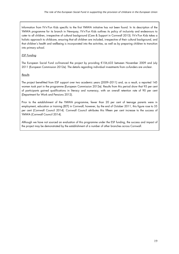Information from Fit'n'Fun Kids specific to the first YMWA initiative has not been found. In its description of the YMWA programme for its branch in Newquay, Fit'n'Fun Kids outlines its policy of inclusivity and endeavours to cater to all children, irrespective of cultural background (Care & Support in Cornwall 2015). Fit'n'Fun Kids takes a holistic approach to childcare, ensuring that all children are included, irrespective of their cultural background, and that children's health and wellbeing is incorporated into the activities, as well as by preparing children to transition into primary school.

## ESF Funding

The European Social Fund co-financed the project by providing €156,633 between November 2009 and July 2011 (European Commission 2012e). The details regarding individual investments from co-funders are unclear.

## **Results**

The project benefitted from ESF support over two academic years (2009–2011) and, as a result, a reported 145 women took part in the programme (European Commission 2012e). Results from this period show that 95 per cent of participants gained qualifications in literacy and numeracy, with an overall retention rate of 90 per cent (Department for Work and Pensions 2012).

Prior to the establishment of the YMWA programme, fewer than 20 per cent of teenage parents were in employment, education or training (EET) in Cornwall; however, by the end of October 2011, this figure rose to 35 per cent (Cornwall Council 2014). Cornwall Council attributes this fifteen per cent increase to the success of YMWA (Cornwall Council 2014).

Although we have not sourced an evaluation of this programme under the ESF funding, the success and impact of the project may be demonstrated by the establishment of a number of other branches across Cornwall.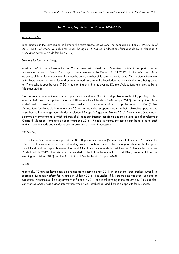## Les Castors, Pays de la Loire, France, 2007–2013

## Regional context

Rezé, situated in the Loire region, is home to the micro-crèche Les Castors. The population of Rezé is 39,372 as of 2012, 2,851 of whom were children under the age of 5 (Caisse d'Allocations familiales de Loire-Atlantique & Association nantaise d'aide familiale 2012).

## Solutions for long-term change

In March 2012, the micro-crèche Les Castors was established as a 'short-term crutch' to support a wider programme known as Pas à Pas to get parents into work (Le Canard Social 2012). In this vein, the crèche welcomes children for a maximum of six months before another childcare solution is found. This service is beneficial as it allows parents to search for and engage in work, secure in the knowledge that their children are being cared for. The crèche is open between 7:30 in the morning until 8 in the evening (Caisse d'Allocations familiales de Loire-Atlantique 2016).

The programme takes a three-pronged approach to childcare. First, it is adaptable to each child, placing a clear focus on their needs and patterns (Caisse d'Allocations familiales de Loire-Atlantique 2016). Secondly, the crèche is designed to provide support to parents seeking to pursue educational or professional activities (Caisse d'Allocations familiales de Loire-Atlantique 2016). An individual supports parents in their job-seeking pursuits and helps them to find a longer term childcare solution (L'Europe S'Engage en France 2016). Finally, the crèche creates a community environment in which children of all ages can interact, contributing to their overall social development (Caisse d'Allocations familiales de Loire-Atlantique 2016). Flexible in nature, the service can be tailored to each family's specific needs and childcare can be provided at home, if necessary.

## ESF Funding

Les Castors crèche requires a reported €230,000 per annum to run (Acceuil Petite Enfance 2016). When the crèche was first established, it received funding from a variety of sources, chief among which were the European Social Fund and the Espoir Banlieue (Caisse d'Allocations familiales de Loire-Atlantique & Association nantaise d'aide familiale 2012). The crèche was co-funded by the ESF to the amount of €334,436 (European Platform for Investing in Children 2016) and the Association of Nantes Family Support (ANAF).

## Results

Reportedly, 70 families have been able to access this service since 2011, in one of the three crèches currently in operation (European Platform for Investing in Children 2016). It is unclear if this programme has been subject to an evaluation. Nonetheless, the programme was funded in 2011 and is still running to the present day. This is a clear sign that Les Castors was a good intervention when it was established, and there is an appetite for its services.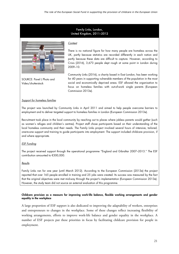# Family Links, London, United Kingdom, 2011–2012

**Context** 

2009–10.



SOURCE: Pavel L Photo and Video/shutterstock

There is no national figure for how many people are homeless across the UK, partly because statistics are recorded differently in each nation and partly because these data are difficult to capture. However, according to Crisis (2016), 3,673 people slept rough at some point in London during

Community Links (2016), a charity based in East London, has been working for 40 years in supporting vulnerable members of the population in the most social and economically deprived areas. ESF allowed the organisation to focus on homeless families with out-of-work single parents (European Commission 2013e).

#### Support for homeless families

The project was launched by Community Links in April 2011 and aimed to help people overcome barriers to employment and to deliver targeted support to homeless families in London (European Commission 2013e).

Recruitment took place in the local community by reaching out to places where jobless parents would gather (such as women's refuges and children's centres). Project staff chose participants based on their understanding of the local homeless community and their needs. The Family Links project involved several hours of intensive, tailored, one-to-one support and training to guide participants into employment. The support included childcare provision, if and where appropriate.

#### ESF Funding

The project received support through the operational programme "England and Gibraltar 2007–2013." The ESF contribution amounted to €300,000.

#### Results

Family Links ran for one year (until March 2012). According to the European Commission (2013e) the project reported that over 165 people enrolled in training and 25 jobs were created. Its success was measured by the fact that the original objectives were met mid-way through the project's implementation (European Commission 2013e). However, the study team did not source an external evaluation of this programme.

#### **Childcare provision as a measure for improving work-life balance, flexible working arrangements and gender equality in the workplace**

A large proportion of ESF support is also dedicated to improving the adaptability of workers, enterprises and entrepreneurs to changes in the workplace. Some of these changes reflect increasing flexibility of working arrangements, efforts to improve work-life balance and gender equality in the workplace. A number of ESF projects put these priorities in focus by facilitating childcare provision for people in employment.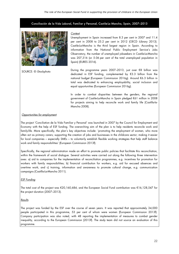## Conciliación de la Vida Laboral, Familiar y Personal, Castile-La Mancha, Spain, 2007–2013



SOURCE: © iStockphoto

#### **Context**

Unemployment in Spain increased from 8.3 per cent in 2007 and 11.4 per cent in 2008 to 25.2 per cent in 2012 (OECD iLibrary 2013). Castile-La-Mancha is the third largest region in Spain. According to information from the National Public Employment Service's Jobs Observatory, the number of unemployed jobseekers in Castile-La-Mancha was 207,316 (or 5.06 per cent of the total unemployed population in Spain) (EURES 2016).

During the programme years 2007–2013, just over €8 billion was dedicated in ESF funding, complemented by €3.3 billion from the national budget (European Commission 2016g). Around €6.3 billion in total was dedicated to enhancing employability, social inclusion and equal opportunities (European Commission 2016g).

In order to combat disparities between the genders, the regional government of Castile-La-Mancha in Spain pledged €61 million in 2008 for projects aiming to help reconcile work and family life (Castilla-la-Mancha 2008).

#### Opportunities for employment

The project 'Conciliation de la Vida Familiar y Personal' was launched in 2007 by the Council for Employment and Economy with the help of ESF funding. The overarching aim of the plan is to help residents reconcile work and family-life. More specifically, the plan's key objectives include: 'promoting the employment of women, who more often act as primary carers; supporting the creation of jobs and businesses in the childcare sector; making it easier for local companies – especially SMEs – to voluntarily establish flexible working strategies that help staff balance work and family responsibilities' (European Commission 2013f).

Specifically, the regional administration made an effort to promote public policies that facilitate this reconciliation, within the framework of social dialogue. Several activities were carried out along the following three intervention axes: a) aid to companies for the implementation of reconciliation programmes, e.g. incentives for promotion for workers with family responsibilities; b) financial contribution for workers, e.g. aid for excused absences and overtime work; and c) training, information and awareness to promote cultural change, e.g. communication campaigns (Castilla-La-Mancha 2011).

#### ESF Funding

The total cost of the project was €20,160,684, and the European Social Fund contribution was €16,128,547 for the project duration (2007–2013).

#### Results

The project was funded by the ESF over the course of seven years. It was reported that approximately 34,000 people participated in this programme, 53 per cent of whom were women (European Commission 2013f). Company participation was also noted, with 48 reporting the implementation of measures to combat gender inequality, according to the European Commission (2013f). The study team did not source an evaluation of this programme.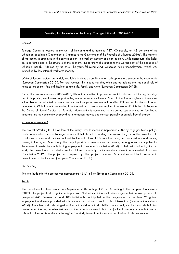## Working for the welfare of the family, Taurag**ė**, Lithuania, 2009–2012

## **Context**

Taurage County is located in the west of Lithuania and is home to 127,400 people, or 3.8 per cent of the Lithuanian population (Department of Statistics to the Government of the Republic of Lithuania 2016a). The majority of the county is employed in the service sector, followed by industry and construction, while agriculture also holds an important place in the structure of the economy (Department of Statistics to the Government of the Republic of Lithuania 2016b). Affected by the crisis, the years following 2008 witnessed rising unemployment, which was intensified by low internal workforce mobility.

While childcare services are widely available in cities across Lithuania, such options are scarce in the countryside (European Commission 2012f). For rural women, this means that they often end up holding the traditional role of home-carers as they find it difficult to balance life, family and work (European Commission 2012f).

During the programme years 2007–2013, Lithuania committed to promoting social inclusion and lifelong learning, and to improving employment opportunities, among other commitments. Special attention was given to those most vulnerable to and affected by unemployment, such as young women with families. ESF funding for the total period amounted to €1 billion with co-funding from the national government resulting in a total of €1.2 billion. In Taurage, the Centre of Social Services of Pagegiai Municipality is committed to increasing opportunities for families to integrate into the community by providing information, advice and services partially or entirely free of charge.

## Access to employment

The project 'Working for the welfare of the family' was launched in September 2009 by Pagegiai Municipality's Centre of Social Services in Taurage County with help from ESF funding. The overarching aim of the project was to assist rural women and families confined by the lack of available social services, such as childcare and nursing homes, in the region. Specifically, the project provided career advice and training in languages or computers for the women, to assist them with finding employment (European Commission 2012f). To help with balancing life and work, the project also provided care for children or elderly family members when it was needed (European Commission 2012f). The project was inspired by other projects in other ESF countries and by Norway in its promotion of social inclusion (European Commission 2012f).

## ESF Funding

The total budget for the project was approximately  $E1.1$  million (European Commission 2012f).

## Results

The project ran for three years, from September 2009 to August 2012. According to the European Commission (2012f), the project had a significant impact as it 'helped municipal authorities upgrade their whole approach to groups at risk'. Between 50 and 100 individuals participated in the programme and at least 25 gained employment and were provided with homecare support as a result of this intervention (European Commission 2012f). A number of disadvantaged families with children with disabilities are currently enrolled in a rehabilitation centre during the day. Another testament to the project's success is that a major local company was able to set up crèche facilities for its workers in the region. The study team did not source an evaluation of this programme.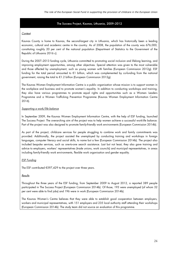#### The Success Project, Kaunas, Lithuania, 2009–2012

#### **Context**

Kaunas County is home to Kaunas, the second-largest city in Lithuania, which has historically been a leading economic, cultural and academic centre in the country. As of 2008, the population of the county was 676,000, constituting roughly 20 per cent of the national population (Department of Statistics to the Government of the Republic of Lithuania 2016 c).

During the 2007–2013 funding cycle, Lithuania committed to promoting social inclusion and lifelong learning, and improving employment opportunities, among other objectives. Special attention was given to the most vulnerable and those affected by unemployment, such as young women with families (European Commission 2012g). ESF funding for the total period amounted to €1 billion, which was complemented by co-funding from the national government, raising the total to €1.2 billion (European Commission 2012g).

The Kaunas Women Employment Information Centre is a public organisation whose mission is to support women in the workplace and business and to promote women's equality. In addition to conducting workshops and training, they also have various programmes to promote equal rights and opportunities such as a Women- Leaders Programme and a Women Trafficking Prevention Programme (Kaunas Women Employment Information Centre 2016).

#### Supporting a work/life balance

In September 2009, the Kaunas Women Employment Information Centre, with the help of ESF funding, launched The Success Project. The overarching aim of the project was to help women achieve a successful work-life balance. Part of the project was also designed to promote family-friendly work environments (European Commission 2014b).

As part of the project, childcare services for people struggling to combine work and family commitments was provided. Additionally, the project assisted the unemployed by conducting training and workshops in foreign languages, computer literacy and social skills, to name but a few (European Commission 2014b). The project also included bespoke services, such as one-to-one search assistance. Last but not least, they also gave training and advice to employers, workers' representatives (trade unions, work councils) and municipal representatives, in areas including family-friendly work environments, flexible work organisation and gender equality.

#### ESF Funding

The ESF contributed  $£597,429$  to the project over three years.

#### **Results**

Throughout the three years of the ESF funding, from September 2009 to August 2012, a reported 389 people participated in The Success Project (European Commission 2014b). Of those, 193 were unemployed (of whom 32 per cent were able to find jobs) and 196 were in work (European Commission 2014b).

The Kaunas Women's Centre believes that they were able to establish good cooperation between employers, workers and municipal representatives, with 151 employers and 235 local authority staff attending their workshops (European Commission 2014b). The study team did not source an evaluation of this programme.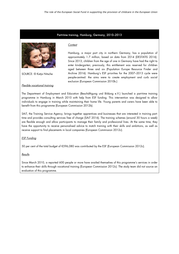#### Part-time training, Hamburg, Germany, 2010–2013

**Context** 



SOURCE: © Katja Nitsche

#### Flexible vocational training

Hamburg, a major port city in northern Germany, has a population of approximately 1.7 million, based on data from 2014 (DESTATIS 2016). Since 2013, children from the age of one in Germany have had the right to enter kindergarten; previously, this entitlement was reserved for children aged between three and six (Population Europe Resource Finder and Archive 2016). Hamburg's ESF priorities for the 2007–2013 cycle were people-centred: the aims were to create employment and curb social exclusion (European Commission 2010b.)

The Department of Employment and Education (Beschäftigung und Bildung e.V.) launched a part-time training programme in Hamburg in March 2010 with help from ESF funding. This intervention was designed to allow individuals to engage in training while maintaining their home life. Young parents and carers have been able to benefit from this programme (European Commission 2012b).

SAiT, the Training Service Agency, brings together apprentices and businesses that are interested in training parttime and provides consulting services free of charge (SAiT 2016). The training schemes (around 30 hours a week) are flexible enough and allow participants to manage their family and professional lives. At the same time, they have the opportunity to receive personalised advice to match training with their skills and ambitions, as well as receive support to find placements in local companies (European Commission 2012c).

ESF Funding

50 per cent of the total budget of €596,080 was contributed by the ESF (European Commission 2012c).

**Results** 

Since March 2010, a reported 600 people or more have availed themselves of this programme's services in order to enhance their skills through vocational training (European Commission 2012c). The study team did not source an evaluation of this programme.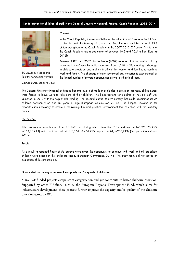## Kindergarten for children of staff in the General University Hospital, Prague, Czech Republic, 2012–2014



SOURCE: © Vseobecna fakultni nemocnice v Praze

Getting nurses back to work

#### **Context**

In the Czech Republic, the responsibility for the allocation of European Social Fund capital lies with the Ministry of Labour and Social Affairs (MoLSA). In total, €3.8 billion was given to the Czech Republic in the 2007–2013 ESF cycle. At this time, the Czech Republic had a population of between 10.2 and 10.5 million (Eurostat 2016b).

Between 1990 and 2007, Radio Praha (2007) reported that the number of day nurseries in the Czech Republic decreased from 1,040 to 52, creating a shortage in childcare provision and making it difficult for women and families to combine work and family. This shortage of state sponsored day nurseries is exacerbated by the limited number of private opportunities as well as their high cost.

The General University Hospital of Prague became aware of the lack of childcare provision, as many skilled nurses were forced to leave work to take care of their children. The kindergartens for children of nursing staff was launched in 2012 with the help of ESF funding. The hospital started its own nursery that could accommodate 24 children between three and six years of age (European Commission 2014c). The hospital invested in the reconstruction necessary to create a motivating, fun and practical environment that complied with the statutory norms.

#### ESF Funding

This programme was funded from 2012–2014, during which time the ESF contributed 4,168,228.70 CZK (€153,145.14) out of a total budget of 7,264,886.64 CZK (approximately €266,919) (European Commission 2014c).

**Results** 

As a result, a reported figure of 56 parents were given the opportunity to continue with work and 61 pre-school children were placed in this childcare facility (European Commission 2014c). The study team did not source an evaluation of this programme.

#### **Other initiatives aiming to improve the capacity and/or quality of childcare**

Many ESF-funded projects escape strict categorisation and yet contribute to better childcare provision. Supported by other EU funds, such as the European Regional Development Fund, which allow for infrastructure development, these projects further improve the capacity and/or quality of the childcare provision across the EU.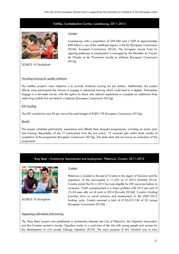## Valiflex, Confederation Caritas, Luxembourg, 2011–2013



**Context** 

Luxembourg, with a population of 549,680 and a GDP of approximately €49 billion is one of the wealthiest regions in the EU (European Commission 2016h; European Commission 2016i). The European Social Fund for opening pathways to employment is managed by the Ministère du Travail, de l'Emploi et de l'Économie sociale et solidaire (European Commission 2016j).

SOURCE: © iStockphoto

#### Providing training for quality childcare

The Valiflex project's main objective is to provide childcare training for job seekers. Additionally, the project affords some participants the chance to engage in advanced training which could lead to a degree. Participants engage in a ten-week course, with the option for those with relevant experience to complete an additional three week long module that can lead to a diploma (European Commission 2013g).

#### ESF Funding

The ESF contribution was 50 per cent of the total budget of €389,178 (European Commission 2013g).

#### Results

The project validated participants' experience and offered them bespoke programmes, including an action plan and training. Reportedly, of the 17 participants from the first cohort, 12 received jobs within three months of completion of the programme (European Commission 2013g). The study team did not source an evaluation of this programme.

## Busy Bees – Community improvement and employment, Pleternica, Croatia, 2011–2012



SOURCE: © iStockphoto

#### **Context**

Pleternica is located in the east of Croatia in the region of Slavonia and the population of the municipality is 11,323 as of 2013 (UrbiStat 2016). Croatia joined the EU in 2013 but was eligible for ESF resources before its accession. Youth unemployment is a major problem with 45.5 per cent of 15–24 year olds out of work in 2014 (Eurostat 2016d). Croatia's funding priorities focus on social inclusion and employment. In the 2007–2013 funding cycle, Croatia received a total of €152,413,106 of EU money (European Commission 2015b).

## Supporting individuals with training

The 'Busy Bees' project was established in partnership between the City of Pleternica, the Oppidum Association and the Croatian women's society. Oppidum works in a rural area of the city with young people and women for the development of civil society (Udruga Oppidum 2016). The main purpose of this initiative was to train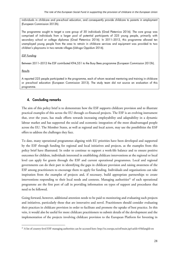individuals in childcare and pre-school education, and consequently provide childcare to parents in employment (European Commission 2013h).

The programme sought to target a core group of 30 individuals (Grad Pleternica 2016). The core group was comprised of individuals from a larger pool of potential participants of 225 young people, primarily with secondary school or college diplomas (Grad Pleternica 2016). In 2011–2012, this programme allowed ten unemployed young people from the area to retrain in childcare services and equipment was provided to two children's playrooms in two remote villages (Udruga Oppidum 2016).

#### **ESF Funding**

Between 2011–2012 the ESF contributed €94,551 to the Busy Bees programme (European Commission 2013h).

#### **Results**

 $\ddot{\phantom{a}}$ 

A reported 225 people participated in the programme, each of whom received mentoring and training in childcare or pre-school education (European Commission 2013). The study team did not source an evaluation of this programme.

# **4. Concluding remarks**

The aim of this policy brief is to demonstrate how the ESF supports childcare provision and to illustrate practical examples of this across the EU through co-financed projects. The ESF is an evolving instrument that, over the years, has made efforts towards increasing employability and adaptability in a dynamic labour market and has supported the social and economic integration of the most disadvantaged people across the EU. The Member States, as well as regional and local actors, may use the possibilities the ESF offers to address the challenges they face.

To date, many operational programmes aligning with EU priorities have been developed and supported by the ESF through funding for regional and local initiatives and projects, as the examples from this policy brief have illustrated. In order to continue to support a work-life balance and to ensure positive outcomes for children, individuals interested in establishing childcare interventions at the regional or local level can apply for grants through the ESF and current operational programmes. Local and regional governments can do their part in identifying the gaps in childcare provision and raising awareness of the ESF among practitioners to encourage them to apply for funding. Individuals and organisations can take inspiration from the examples of projects and, if necessary, build appropriate partnerships to create interventions responding to their local needs and contexts. Managing authorities<sup>21</sup> of each operational programme are the first port of call in providing information on types of support and procedures that need to be followed.

Going forward, however, additional attention needs to be paid to monitoring and evaluating such projects and initiatives, particularly those that are innovative and novel. Practitioners should consider evaluating their practices in childcare provision in order to facilitate and promote the uptake of best practice. In this vein, it would also be useful for more childcare practitioners to submit details of the development and the implementation of the projects involving childcare provision to the European Platform for Investing in

<sup>&</sup>lt;sup>21</sup> A list of country-level ESF managing authorities can be accessed here: http://ec.europa.eu/esf/main.jsp?catId=45&langId=en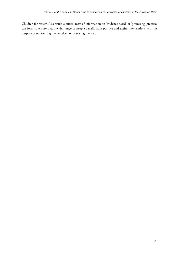Children for review. As a result, a critical mass of information on 'evidence-based' or 'promising' practices can form to ensure that a wider range of people benefit from positive and useful interventions with the purpose of transferring the practices, or of scaling them up.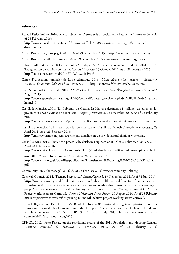## **References**

Acceuil Petite Enface. 2016. 'Micro-crèche Les Castors et le dispositif Pas à Pas.' *Acceuil Petite Enfance*. As of 28 February 2016:

[http://www.accueil-petite-enfance.fr/innovation/fiche/108/index/inno\\_map/page:2/sort:name/](http://www.accueil-petite-enfance.fr/innovation/fiche/108/index/inno_map/page:2/sort:name/direction:desc)  direction:desc

- Amare Rromentza (homepage). 2015a. As of 29 September 2015: <http://www.amarerromentza.org>
- Amare Rromentza. 2015b. 'Proiecte.' As of 29 September 2015[:www.amarerromentza.org/proiecte](http://www.amarerromentza.org/proiecte)
- Caisse d'Allocations familiales de Loire-Atlantique & Association nantaise d'aide familiale. 2012. 'Inauguration de la micro crèche Les Castors.' *Calameo*, 13 October 2012. As of 28 February 2016: <http://en.calameo.com/read/0014574085ce8d1a591c3>
- Caisse d'Allocations familiales de Loire-Atlantique. 2016. 'Micro-crèche « Les castors ».' *Association Nantaise d'Aide Familiale*. As of 28 February 2016: <http://anaf.asso.fr/micro-creche-les-castors/>
- Care & Support in Cornwall. 2015. 'YMWA Creche Newquay.' *Care & Support in Cornwall*. As of 4 August 2015:

[http://www.supportincornwall.org.uk/kb5/cornwall/directory/service.page?id=Ck4lC8U2AdA&familyc](http://www.supportincornwall.org.uk/kb5/cornwall/directory/service.page?id=Ck4lC8U2AdA&familychannel=0) hannel=0

Castilla-la-Mancha. 2008. 'El Gobierno de Castilla-La Mancha destinará 61 millones de euros en los próximos 5 años a ayudas de conciliació.' *Empleo y Formacion*, 22 December 2008. As of 28 February 2016:

<http://empleoyformacion.jccm.es/principal/conciliacion-de-la-vida-laboral-familiar-y-personal/noticias/>

Castilla-La-Mancha. 2011. 'Plan para la Conciliacion en Castilla-La Mancha.' *Empleo y Formacion*, 29 April 2011. As of 28 February 2016:

<http://empleoyformacion.jccm.es/principal/conciliacion-de-la-vida-laboral-familiar-y-personal/>

- Česká Televize. 2013. 'Děti, nebo práce? Díky dětským skupinám obojí.' Česká Televize, 3 January 2013. As of 28 February 2016:
	- <http://www.ceskatelevize.cz/ct24/ekonomika/1125593-deti-nebo-prace-diky-detskym-skupinam-oboji>
- Crisis. 2016. 'About Homelessness.' *Crisis*. As of 28 February 2016: [http://www.crisis.org.uk/data/files/publications/Homelessness%20briefing%202015%20EXTERNAL.](http://www.crisis.org.uk/data/files/publications/Homelessness%20briefing%202015%20EXTERNAL.pdf) pdf
- Community Links (homepage). 2016. As of 28 February 2016: [www.community-links.org](http://www.community-links.org)
- Cornwall Council. 2014. 'Teenage Pregnancy.' *Cornwall.gov.uk*, 19 November 2014. As of 31 July 2015: [https://www.cornwall.gov.uk/health-and-social-care/public-health-cornwall/director-of-public-healths](https://www.cornwall.gov.uk/health-and-social-care/public-health-cornwall/director-of-public-healths-annual-report/2012-director-of-public-healths-annual-report/health-improvement/vulnerable-young-people/teenage-pregnancy/)annual-report/2012-director-of-public-healths-annual-report/health-improvement/vulnerable-young[people/teenage-pregnancy/C](https://www.cornwall.gov.uk/health-and-social-care/public-health-cornwall/director-of-public-healths-annual-report/2012-director-of-public-healths-annual-report/health-improvement/vulnerable-young-people/teenage-pregnancy/)ornwall Voluntary Sector Forum. 2014. 'Young Mums Will Achieve Project working across Cornwall.' *Cornwall Voluntary Sector Forum*, 20 August 2014. As of 28 February 2016: <http://www.cornwallvsf.org/young-mums-will-achieve-project-working-across-cornwall/>
- Council Regulation (EC) No 1083/2006 of 11 July 2006 laying down general provisions on the European Regional Development Fund, the European Social Fund and the Cohesion Fund and repealing Regulation (EC) No 1260/1999. As of 31 July 2015: [http://eur-lex.europa.eu/legal](http://eur-lex.europa.eu/legal-content/EN/TXT/?uri=uriserv:g24231)[content/EN/TXT/?uri=uriserv:g24231](http://eur-lex.europa.eu/legal-content/EN/TXT/?uri=uriserv:g24231)
- CPHCC. 2012. 'Press Release on the provisional results of the 2011 Population and Housing Census.' *Institutul National de Statistica*, 2 February 2012. As of 28 February 2016: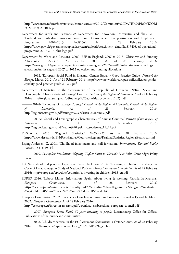[http://www.insse.ro/cms/files/statistici/comunicate/alte/2012/Comunicat%20DATE%20PROVIZORI](http://www.insse.ro/cms/files/statistici/comunicate/alte/2012/Comunicat%20DATE%20PROVIZORII%20RPL%202011e.pdf) I%20RPL%202011e.pdf

- Department for Work and Pensions & Department for Innovation, Universities and Skills. 2011. 'England and Gibraltar European Social Fund Convergence, Competitiveness and Employment Programme: 2007–2013.' *GOV.UK*. As of 28 February 2016: [https://www.gov.uk/government/uploads/system/uploads/attachment\\_data/file/313408/esf-operational](https://www.gov.uk/government/uploads/system/uploads/attachment_data/file/313408/esf-operational-programme-2007-2013-plus-logo.pdf)programme-2007-2013-plus-logo.pdf
- Department for Work and Pensions. 2006. 'ESF in England: 2007 to 2013: Objectives and Funding Allocations.' *GOV.UK*, 23 October 2006. As of 28 February 2016: [https://www.gov.uk/government/publications/esf-in-england-2007-to-2013-objectives-and-funding](https://www.gov.uk/government/publications/esf-in-england-2007-to-2013-objectives-and-funding-allocations/esf-in-england-2007-to-2013-objectives-and-funding-allocations)allocations/esf-in-england-2007-to-2013-objectives-and-funding-allocations

———. 2012. 'European Social Fund in England: Gender Equality Good Practice Guide.' *Network for Europe*, March 2012. As of 28 February 2016: [http://www.networkforeurope.eu/files/files/esf-gender](http://www.networkforeurope.eu/files/files/esf-gender-equality-good-practice-guide-2012-2.pdf)[equality-good-practice-guide-2012-2.pdf](http://www.networkforeurope.eu/files/files/esf-gender-equality-good-practice-guide-2012-2.pdf) 

- Department of Statistics to the Government of the Republic of Lithuania. 2016a. 'Social and Demographic Characteristics of Tauragė County.' *Portrait of the Regions of Lithuania*. As of 28 February 2016: [http://regionai.stat.gov.lt/pdf/taurage%20apskritis\\_socdemas\\_11\\_25.pdf](http://regionai.stat.gov.lt/pdf/taurage%20apskritis_socdemas_11_25.pdf)
- ———.2016b. 'Economy of Tauragė County.' *Portrait of the Regions of Lithuania*. *Portrait of the Regions of Lithuania*. As of 28 February 2016: [http://regionai.stat.gov.lt/pdf/taurage%20apskritis\\_ekonomika.pdf](http://regionai.stat.gov.lt/pdf/taurage%20apskritis_ekonomika.pdf)

———. 2016c. 'Social and Demographic Characteristics of Kaunas Country.' *Portrait of the Regions of Lithuania*. As of 25 September 2015: [http://regionai.stat.gov.lt/pdf/kauno%20apskritis\\_socdemas\\_11\\_25.pdf](http://regionai.stat.gov.lt/pdf/kauno%20apskritis_socdemas_11_25.pdf) 

- DESTATIS. 2016. 'Regional Statistics.' *DESTATIS*. As of 28 February 2016: <https://www.destatis.de/EN/FactsFigures/CountriesRegions/RegionalStatistics/RegionalStatistics.html>
- Esping-Andersen, G. 2008. 'Childhood investments and skill formation.' *International Tax and Public Finance* 15 (1): 19–44.

———. 2009. *Incomplete Revolution: Adapting Welfare States to Women's New Roles*. Cambridge: Polity Press.

- EU Network of Independent Experts on Social Inclusion. 2014. 'Investing in children: Breaking the Cycle of Disadvantage. A Study of National Policies: Greece.' *European Commission*. As of 28 February 2016: [http://europa.eu/epic/docs/countries/el-investing-in-children-2013\\_en.pdf](http://europa.eu/epic/docs/countries/el-investing-in-children-2013_en.pdf)
- EURES. 2016. 'Labour Market Information, Spain, About living & working, Castilla-La Mancha.' *European Commission*. As of 28 February 2016: [https://ec.europa.eu/eures/main.jsp?countryId=ES&acro=lmi&showRegion=true&lang=en&mode=text](https://ec.europa.eu/eures/main.jsp?countryId=ES&acro=lmi&showRegion=true&lang=en&mode=text®ionId=ES0&nuts2Code=%20&nuts3Code=null&catId=442) &regionId=ES0&nuts2Code=%20&nuts3Code=null&catId=442
- European Commission. 2002. 'Presidency Conclusion: Barcelona European Council 15 and 16 March 2002.' *European Commission*. As of 28 February 2016: [http://ec.europa.eu/invest-in-research/pdf/download\\_en/barcelona\\_european\\_council.pdf](http://ec.europa.eu/invest-in-research/pdf/download_en/barcelona_european_council.pdf)
- ———. 2007. *European Social Fund: 50 years investing in people*. Luxembourg: Office for Official Publications of the European Communities.
- ———. 2008. 'Childcare services in the EU.' *European Commission*, 3 October 2008. As of 28 February 2016: [http://europa.eu/rapid/press-release\\_MEMO-08-592\\_en.htm](http://europa.eu/rapid/press-release_MEMO-08-592_en.htm)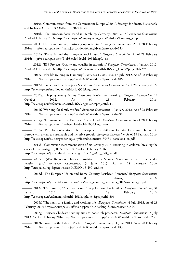———. 2010a. Communication from the Commission: Europe 2020: A Strategy for Smart, Sustainable and Inclusive Growth. (COM(2010) 2020 final).

———. 2010b. 'The European Social Fund in Hamburg, Germany, 2007–2014.' *European Commission*. As of 28 February 2016: [http://ec.europa.eu/employment\\_social/esf/docs/hamburg\\_en.pdf](http://ec.europa.eu/employment_social/esf/docs/hamburg_en.pdf) 

———. 2011. 'Nurturing families, nurturing opportunities.' *European Commission*. As of 28 February 2016: <http://ec.europa.eu/esf/main.jsp?catId=46&langId=en&projectId=286>

———. 2012a. 'Romania and the European Social Fund.' *European Commission*. As of 28 February 2016: http://[ec.europa.eu/esf/BlobServlet?docId=109&langId=en](http://ec.europa.eu/esf/BlobServlet?docId=109&langId=en) 

———. 2012b. 'ESF Projects, Quality and equality in education.' *European Commission*, 4 January 2012. As of 28 February 2016:<http://ec.europa.eu/esf/main.jsp?catId=46&langId=en&projectId=295>

———. 2012c. 'Flexible training in Hamburg.' *European Commission*, 17 July 2012. As of 28 February 2016: <http://ec.europa.eu/esf/main.jsp?catId=46&langId=en&projectId=406>

———. 2012d. 'France and the European Social Fund.' *European Commission.* As of 28 February 2016: <http://ec.europa.eu/esf/BlobServlet?docId=96&langId=en>

———. 2012e. 'Helping Young Mums Overcome Barriers to Learning.' *European Commission*, 12 October 2012. As of 28 February 2016: <http://ec.europa.eu/esf/main.jsp?catId=46&langId=en&projectId=430>

———. 2012f. 'Working for family welfare.' *European Commission*, 4 January 2012. As of 28 February 2016: <http://ec.europa.eu/esf/main.jsp?catId=46&langId=en&projectId=294>

———. 2012g. 'Lithuania and the European Social Fund.' *European Commission*. As of 28 February 2016: <http://ec.europa.eu/esf/BlobServlet?docId=103&langId=en>

———. 2013a. 'Barcelona objectives: The development of childcare facilities for young children in Europe with a view to sustainable and inclusive growth.' *European Commission*. As of 28 February 2016: [http://ec.europa.eu/justice/gender-equality/files/documents/130531\\_barcelona\\_en.pdf](http://ec.europa.eu/justice/gender-equality/files/documents/130531_barcelona_en.pdf) 

———. 2013b. 'Commission Recommendation of 20 February 2013. Investing in children: breaking the cycle of disadvantage.' (2013/112/EU). As of 28 February 2016: [http://ec.europa.eu/justice/fundamental-rights/files/c\\_2013\\_778\\_en.pdf](http://ec.europa.eu/justice/fundamental-rights/files/c_2013_778_en.pdf) 

———. 2013c. 'Q&A: Report on childcare provision in the Member States and study on the gender pension gap.' *European Commission*, 3 June 2013. As of 28 February 2016: [http://europa.eu/rapid/press-release\\_MEMO-13-490\\_en.htm](http://europa.eu/rapid/press-release_MEMO-13-490_en.htm) 

———. 2013d. 'The European Union and Roma-Country Factsheet, Romania.' *European Commission*. As of 28 February 2016: [http://ec.europa.eu/justice/discrimination/files/roma\\_country\\_factsheets\\_2013/romania\\_en.pdf](http://ec.europa.eu/justice/discrimination/files/roma_country_factsheets_2013/romania_en.pdf) 

———. 2013e. 'ESF Projects, "Made to measure" help for homeless families.' *European Commission*, 31 January 2012. As of 28 February 2016: <http://ec.europa.eu/esf/main.jsp?catId=46&langId=en&projectId=306>

———. 2013f. 'The right to a family, and working life.' *European Commission*, 4 July 2013. As of 28 February 2016:<http://ec.europa.eu/esf/main.jsp?catId=46&langId=en&projectId=525>

———. 2013g. 'Projects Childcare training aims to boost job prospects.' *European Commission*, 3 July 2013. As of 28 February 2016: <http://ec.europa.eu/esf/main.jsp?catId=46&langId=en&projectId=523>

———. 2013h. 'Youth in the Labour Market.' *European Commission*, 11 June 2013. As of 28 February 2016: <http://ec.europa.eu/esf/main.jsp?catId=46&langId=en&projectId=483>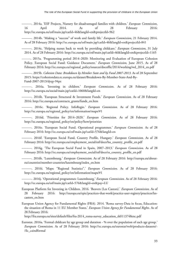———. 2014a. 'ESF Projects, Nursery for disadvantaged families with children.' *European Commission*, 16 April 2014. As of 28 February 2016: <http://ec.europa.eu/esf/main.jsp?catId=46&langId=en&projectId=962>

———. 2014b. 'Making a "success" of work and family life.' *European Commission*, 21 February 2014. As of 28 February 2016:<http://ec.europa.eu/esf/main.jsp?catId=46&langId=en&projectId=841>

———. 2014c. 'Helping nurses back to work by providing childcare.' *European Commission*, 31 July 2014. As of 28 February 2016: <http://ec.europa.eu/esf/main.jsp?catId=46&langId=en&projectId=1165>

———. 2015a. 'Programming period 2014–2020: Monitoring and Evaluation of European Cohesion Policy. European Social Fund: Guidance Document.' *European Commission*, June 2015. As of 28 February 2016: [http://ec.europa.eu/regional\\_policy/sources/docoffic/2014/working/wd\\_2014\\_en.pdf](http://ec.europa.eu/regional_policy/sources/docoffic/2014/working/wd_2014_en.pdf) 

———. 2015b. *Cohesion Data: Breakdown by Member State and by Fund 2007-2013*. As of 28 September 2015: [https://cohesiondata.ec.europa.eu/dataset/Breakdown-By-Member-State-And-By-](https://cohesiondata.ec.europa.eu/dataset/Breakdown-By-Member-State-And-By-Fund-2007-2013/dyqy-94pz)[Fund-2007-2013/dyqy-94pz](https://cohesiondata.ec.europa.eu/dataset/Breakdown-By-Member-State-And-By-Fund-2007-2013/dyqy-94pz)

———. 2016a. 'Investing in children.' *European Commission*. As of 28 February 2016: <http://ec.europa.eu/social/main.jsp?catId=1060&langId=en>

———. 2016b. 'European Structural & Investment Funds.' *European Commission*. As of 28 February 2016: [http://ec.europa.eu/contracts\\_grants/funds\\_en.htm](http://ec.europa.eu/contracts_grants/funds_en.htm) 

———. 2016c. 'Regional Policy. InfoRegio.' *European Commission*. As of 28 February 2016: [http://ec.europa.eu/regional\\_policy/en/information/maps/#1](http://ec.europa.eu/regional_policy/en/information/maps/#1) 

———. 2016d. 'Priorities for 2014–2020.' *European Commission*. As of 28 February 2016: [http://ec.europa.eu/regional\\_policy/en/policy/how/priorities](http://ec.europa.eu/regional_policy/en/policy/how/priorities) 

———. 2016e. 'European Social Fund. Operational programmes.' *European Commission*. As of 28 February 2016:<http://ec.europa.eu/esf/main.jsp?catId=576&langId=en>

———. 2016f. 'European Social Fund, Country Profile, Hungary.' *European Commission*. As of 28 February 2016: [http://ec.europa.eu/employment\\_social/esf/docs/hu\\_country\\_profile\\_en.pdf](http://ec.europa.eu/employment_social/esf/docs/hu_country_profile_en.pdf) 

———. 2016g. 'The European Social Fund in Spain, 2007–2013.' *European Commission*. As of 28 February 2016: [http://ec.europa.eu/employment\\_social/esf/docs/es\\_country\\_profile\\_en.pdf](http://ec.europa.eu/employment_social/esf/docs/es_country_profile_en.pdf) 

———. 2016h. 'Luxembourg.' *European Commission*. As of 28 February 2016: [http://europa.eu/about](http://europa.eu/about-eu/countries/member-countries/luxembourg/index_en.htm)[eu/countries/member-countries/luxembourg/index\\_en.htm](http://europa.eu/about-eu/countries/member-countries/luxembourg/index_en.htm) 

———. 2016i. 'Maps: "Regional Statistics".' *European Commission*. As of 28 February 2016: [http://ec.europa.eu/regional\\_policy/en/information/maps/#1](http://ec.europa.eu/regional_policy/en/information/maps/#1) 

———. 2016j. 'Operational programmes: Luxembourg.' *European Commission*. As of 28 February 2016: <http://ec.europa.eu/esf/main.jsp?catId=576&langId=en&pay=LU>

European Platform for Investing in Children. 2016. 'Beavers (Les Castors).' *European Commission*. As of 28 February 2016: [http://europa.eu/epic/practices-that-work/practice-user-registry/practices/les](http://europa.eu/epic/practices-that-work/practice-user-registry/practices/les-castors_en.htm)[castors\\_en.htm](http://europa.eu/epic/practices-that-work/practice-user-registry/practices/les-castors_en.htm) 

European Union Agency for Fundamental Rights (FRA). 2014. 'Roma survey-Data in focus, Education: the situation of Roma in 11 EU Member States.' *European Union Agency for Fundamental Rights*. As of 28 February 2016:

[http://fra.europa.eu/sites/default/files/fra-2014\\_roma-survey\\_education\\_tk0113748enc.pdf](http://fra.europa.eu/sites/default/files/fra-2014_roma-survey_education_tk0113748enc.pdf) 

Eurostat. 2016a. 'Formal childcare by age group and duration - % over the population of each age group.' *European Commission*. As of 28 February 2016: [http://ec.europa.eu/eurostat/web/products-datasets/-](http://ec.europa.eu/eurostat/web/products-datasets/-/ilc_caindformal) [/ilc\\_caindformal](http://ec.europa.eu/eurostat/web/products-datasets/-/ilc_caindformal)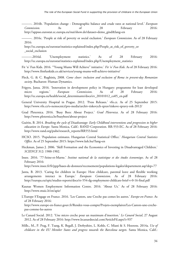- ———. 2016b. 'Population change Demographic balance and crude rates at national level.' *European Commission*. As of 28 February 2016: [http://appsso.eurostat.ec.europa.eu/nui/show.do?dataset=demo\\_gind&lang=en](http://appsso.eurostat.ec.europa.eu/nui/show.do?dataset=demo_gind&lang=en)
- ———. 2016c. 'People at risk of poverty or social exclusion.' *European Commission*. As of 28 February 2016:
- [http://ec.europa.eu/eurostat/statistics-explained/index.php/People\\_at\\_risk\\_of\\_poverty\\_or](http://ec.europa.eu/eurostat/statistics-explained/index.php/People_at_risk_of_poverty_or_social_exclusion)  \_social\_exclusion
- ———.2016d. 'Unemployment statistics.' As of 28 February 2016: [http://ec.europa.eu/eurostat/statistics-explained/index.php/Unemployment\\_statistics](http://ec.europa.eu/eurostat/statistics-explained/index.php/Unemployment_statistics)
- Fit 'n' Fun Kids. 2016. '"Young Mums Will Achieve" initiative.' *Fit 'n' Fun Kids*. As of 28 February 2016: <http://www.fitnfunkids.co.uk/services/young-mums-will-achieve-initiative/>
- Fleck, G. & C. Rughiniş. 2008. *Come closer: inclusion and exclusion of Roma in present-day Romanian society*. Bucharest: Human Dynamics.
- Frigyes, Janza. 2016. 'Innovation in development policy in Hungary: programme for least developed micro regions.' *European Commission*. As of 28 February 2016: [http://ec.europa.eu/health/social\\_determinants/docs/ev\\_20101012\\_co05\\_en.pdf](http://ec.europa.eu/health/social_determinants/docs/ev_20101012_co05_en.pdf)
- General University Hospital in Prague. 2012. 'Press Releases.' vfn.cz. As of 25 September 2015: <http://www.vfn.cz/o-nemocnici/pro-media/archiv-tiskovych-zprav/tiskove-zpravy-rok-2012/>
- Grad Pleternica. 2016. 'Busy Bees: About Project.' *Grad Pleternica*. As of 28 February 2016: <http://www.pleternica.hr/busybees/about-project>
- Guérin, B. 2014. *Breaking the cycle of Disadvantage: Early Childhood interventions and progression to higher education in Europe*. Santa Monica, Calif.: RAND Corporation. RR-553-EC. As of 28 February 2016: [http://www.rand.org/pubs/research\\_reports/RR553.html](http://www.rand.org/pubs/research_reports/RR553.html)
- HCSO. 2015. 'Population estimates. Hungarian Central Statistical Office.' *Hungarian Central Statistics Office*. As of 25 September 2015: <https://www.ksh.hu/?lang=en>
- Heckman, James J. 2006. 'Skill Formation and the Economics of Investing in Disadvantaged Children.' *SCIENCE* 312: 1900-1902.
- Insee. 2016. '77-Seine-et-Marne.' *Institut national de la statistique et des études économiqes*. As of 28 February 2016: <http://www.insee.fr/fr/ppp/bases-de-donnees/recensement/populations-legales/departement.asp?dep=77>
- Janta, B. 2013. 'Caring for children in Europe: How childcare, parental leave and flexible working arrangements interact in Europe.' *European Commission*. As of 28 February 2016: <http://europa.eu/epic/studies-reports/docs/rr-554-dg-employment-childcare-brief-v-0-16-final.pdf>
- Kaunas Women Employment Information Centre. 2016. 'About Us.' As of 28 February 2016: <http://www.muic.lt/en/apie/>
- L'Europe S'Engage en France. 2016. 'Les Castors, une Creche pas comes les autres.' *Europe-en-France*. As of 28 February 2016: [http://www.europe-en-france.gouv.fr/Rendez-vous-compte/Projets-exemplaires/Les-Castors-une-creche](http://www.europe-en-france.gouv.fr/Rendez-vous-compte/Projets-exemplaires/Les-Castors-une-creche-pas-comme-les-autres)pas-comme-les-autres
- Le Canard Social. 2012. 'Une micro creche pour un maximum d'insertion.' *Le Canard Social*, 27 August 2012. As of 28 February 2016:<http://www.lecanardsocial.com/ArticleFil.aspx?i=937>
- Mills., M., P. Prag, F. Tsang, K. Begall, J. Derbyshire, L. Kohle, C. Miani & S. Hoorens. 2014a. *Use of childcare in the EU Member States and progress towards the Barcelona targets*. Santa Monica, Calif.: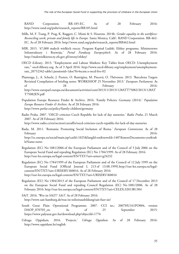RAND Corporation. RR-185-EC. As of 28 February 2016: [http://www.rand.org/pubs/research\\_reports/RR185.html](http://www.rand.org/pubs/research_reports/RR185.html) 

- Mills, M, F. Tsang, P. Prag, K. Ruggeri, C. Miani & S. Hoorens. 2014b. *Gender equality in the workforce: Reconciling work, private and family life in Europe*. Santa Monica, Calif.: RAND Corporation. RR-462- EC. As of 28 February 2016: [http://www.rand.org/pubs/research\\_reports/RR462.html](http://www.rand.org/pubs/research_reports/RR462.html)
- MIR. 2015. '47,000 małych wielkich rzeczy. Program Kapitał Ludzki. Efekty programu. Ministerstwo Infrastruktury i Rozwoju.' *Portal Funduszy Europesjskich*. As of 28 February 2016: <http://malewielkierzeczy.efs.gov.pl/strony/efekty/>
- OECD iLibrary. 2013. "Employment and Labour Markets: Key Tables from OECD: Unemployment rate," oecd-ilibrary.org. As of 3 April 2016: [http://www.oecd-ilibrary.org/employment/unemployment](http://www.oecd-ilibrary.org/employment/unemployment-rate_20752342-table1;jsessionid=1dos7ftv4scxm.x-oecd-live-02)[rate\\_20752342-table1;jsessionid=1dos7ftv4scxm.x-oecd-live-02](http://www.oecd-ilibrary.org/employment/unemployment-rate_20752342-table1;jsessionid=1dos7ftv4scxm.x-oecd-live-02)
- Plantenga, J., A. Scheele, J. Peeters, O. Rastrigina, M. Piscová, O. Thévenon. 2013. 'Barcelona Targets Revisited Compilation of briefing notes: WORKSHOP 25 November 2013.' *European Parliament*. As of 28 28 February 2016: [http://www.europarl.europa.eu/document/activities/cont/201311/20131128ATT75082/20131128AT](http://www.europarl.europa.eu/document/activities/cont/201311/20131128ATT75082/20131128ATT75082EN.pdf) T75082EN.pdf
- Population Europe Resource Finder & Archive. 2016. 'Family Policies: Germany (2014).' *Population Europe Resource Finder & Archive*. As of 28 February 2016: <http://www.perfar.eu/policy/family-children/germany>
- Radio Praha. 2007. 'OECD criticizes Czech Republic for lack of day nurseries.' *Radio Praha*, 21 March 2007. As of 28 February 2016: <http://www.radio.cz/en/section/curraffrs/oecd-criticizes-czech-republic-for-lack-of-day-nurseries>
- Radu, M. 2011. 'Romania: Promoting Social Inclusion of Roma.' *European Commission*. As of 28 February 2016: [http://ec.europa.eu/social/main.jsp?catId=1025&langId=en&newsId=1407&moreDocuments=yes&tab](http://ec.europa.eu/social/main.jsp?catId=1025&langId=en&newsId=1407&moreDocuments=yes&tableName=news) leName=news
- Regulation (EC) No 1081/2006 of the European Parliament and of the Council of 5 July 2006 on the European Social Fund and repealing Regulation (EC) No 1784/1999. As of 28 February 2016: <http://eur-lex.europa.eu/legal-content/EN/TXT/?uri=uriserv:g24232>
- Regulation (EC) No 1784/1999 of the European Parliament and of the Council of 12 July 1999 on the European Social Fund [Official Journal L 213 of 13.08.1999].[http://eur-lex.europa.eu/legal](http://eur-lex.europa.eu/legal-content/EN/TXT/?uri=URISERV:l60016)[content/EN/TXT/?uri=URISERV:l60016.](http://eur-lex.europa.eu/legal-content/EN/TXT/?uri=URISERV:l60016) As of 28 February 2016: <http://eur-lex.europa.eu/legal-content/EN/TXT/?uri=URISERV:l60016>
- Regulation (EU) No 1304/2013 of the European Parliament and of the Council of 17 December 2013 on the European Social Fund and repealing Council Regulation (EC) No 1081/2006. As of 28 February 2016:<http://eur-lex.europa.eu/legal-content/EN/TXT/?uri=CELEX:32013R1304>
- SAiT. 2016. 'Wer ist SAiT?' *SAiT*. As of 28 February 2016: <http://www.sait-hamburg.de/was-ist-teilzeitausbildung/sait-fuer-sie/>
- South Great Plain Operational Programme. 2007. CCI no.: 2007HU161PO004, version DAOP\_070705\_en. As of 25 September 2015: <https://www.palyazat.gov.hu/download.php?objectId=1776>
- Udruga Oppidum. 2016. 'Projects.' *Udruga Oppidum*. As of 28 February 2016: <http://www.oppidum.hr/english>